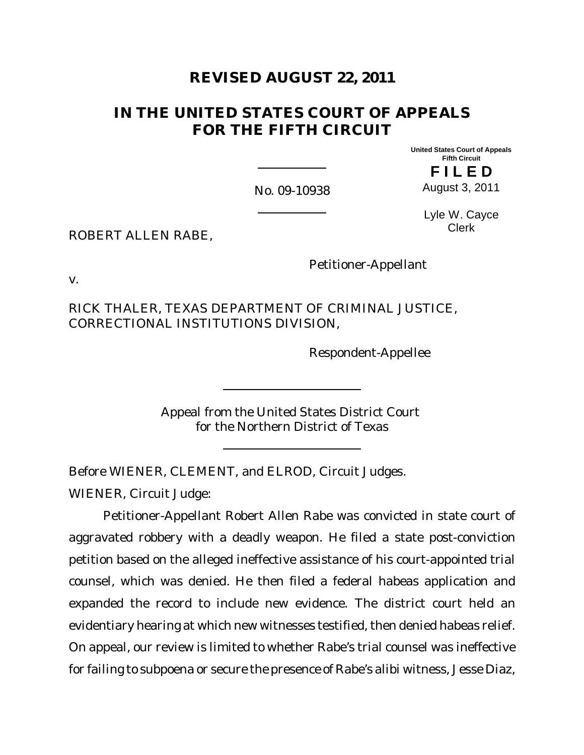# **REVISED AUGUST 22, 2011**

# **IN THE UNITED STATES COURT OF APPEALS FOR THE FIFTH CIRCUIT**

**United States Court of Appeals Fifth Circuit F I L E D**

No. 09-10938

August 3, 2011

Lyle W. Cayce

ROBERT ALLEN RABE,

Clerk

v.

RICK THALER, TEXAS DEPARTMENT OF CRIMINAL JUSTICE, CORRECTIONAL INSTITUTIONS DIVISION,

Respondent-Appellee

Petitioner-Appellant

Appeal from the United States District Court for the Northern District of Texas

Before WIENER, CLEMENT, and ELROD, Circuit Judges.

WIENER, Circuit Judge:

Petitioner-Appellant Robert Allen Rabe was convicted in state court of aggravated robbery with a deadly weapon. He filed a state post-conviction petition based on the alleged ineffective assistance of his court-appointed trial counsel, which was denied. He then filed a federal habeas application and expanded the record to include new evidence. The district court held an evidentiary hearing at which new witnesses testified, then denied habeas relief. On appeal, our review is limited to whether Rabe's trial counsel was ineffective for failing to subpoena or secure the presence of Rabe's alibi witness, Jesse Diaz,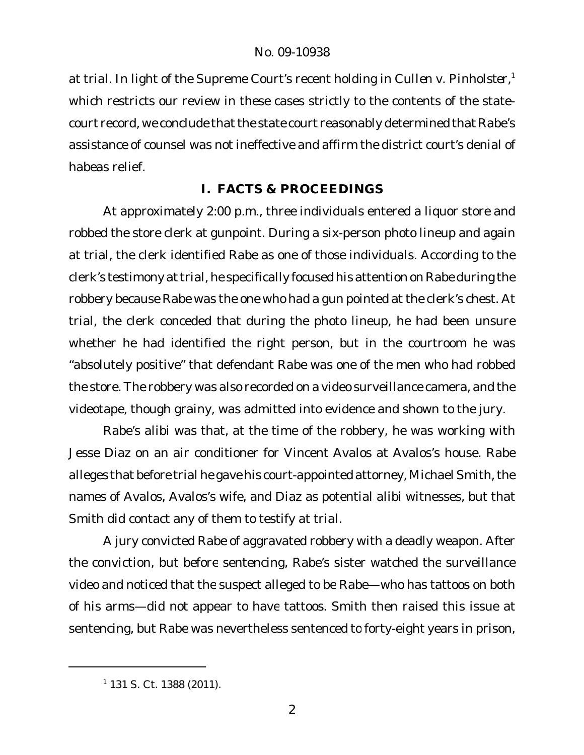at trial. In light of the Supreme Court's recent holding in *Cullen v. Pinholster*, 1 which restricts our review in these cases strictly to the contents of the statecourt record, we conclude that the state court reasonably determined that Rabe's assistance of counsel was not ineffective and affirm the district court's denial of habeas relief.

## **I. FACTS & PROCEEDINGS**

At approximately 2:00 p.m., three individuals entered a liquor store and robbed the store clerk at gunpoint. During a six-person photo lineup and again at trial, the clerk identified Rabe as one of those individuals. According to the clerk's testimony at trial, he specifically focused his attention on Rabe during the robbery because Rabe was the one who had a gun pointed at the clerk's chest. At trial, the clerk conceded that during the photo lineup, he had been unsure whether he had identified the right person, but in the courtroom he was "absolutely positive" that defendant Rabe was one of the men who had robbed the store. The robbery was also recorded on a video surveillance camera, and the videotape, though grainy, was admitted into evidence and shown to the jury.

Rabe's alibi was that, at the time of the robbery, he was working with Jesse Diaz on an air conditioner for Vincent Avalos at Avalos's house. Rabe alleges that before trial he gave his court-appointed attorney, Michael Smith, the names of Avalos, Avalos's wife, and Diaz as potential alibi witnesses, but that Smith did contact any of them to testify at trial.

A jury convicted Rabe of aggravated robbery with a deadly weapon. After the conviction, but before sentencing, Rabe's sister watched the surveillance video and noticed that the suspect alleged to be Rabe—who has tattoos on both of his arms—did not appear to have tattoos. Smith then raised this issue at sentencing, but Rabe was nevertheless sentenced to forty-eight years in prison,

<sup>1</sup> 131 S. Ct. 1388 (2011).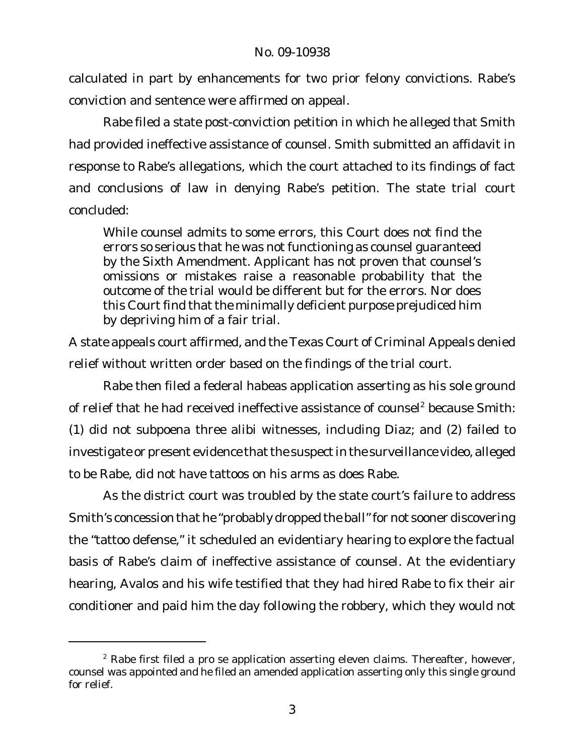calculated in part by enhancements for two prior felony convictions. Rabe's conviction and sentence were affirmed on appeal.

Rabe filed a state post-conviction petition in which he alleged that Smith had provided ineffective assistance of counsel. Smith submitted an affidavit in response to Rabe's allegations, which the court attached to its findings of fact and conclusions of law in denying Rabe's petition. The state trial court concluded:

While counsel admits to some errors, this Court does not find the errors so serious that he was not functioning as counsel guaranteed by the Sixth Amendment. Applicant has not proven that counsel's omissions or mistakes raise a reasonable probability that the outcome of the trial would be different but for the errors. Nor does this Court find that the minimally deficient purpose prejudiced him by depriving him of a fair trial.

A state appeals court affirmed, and the Texas Court of Criminal Appeals denied relief without written order based on the findings of the trial court.

Rabe then filed a federal habeas application asserting as his sole ground of relief that he had received ineffective assistance of counsel<sup>2</sup> because Smith: (1) did not subpoena three alibi witnesses, including Diaz; and (2) failed to investigate or present evidence that the suspect in the surveillance video, alleged to be Rabe, did not have tattoos on his arms as does Rabe.

As the district court was troubled by the state court's failure to address Smith's concession that he "probably dropped the ball" for not sooner discovering the "tattoo defense," it scheduled an evidentiary hearing to explore the factual basis of Rabe's claim of ineffective assistance of counsel. At the evidentiary hearing, Avalos and his wife testified that they had hired Rabe to fix their air conditioner and paid him the day following the robbery, which they would not

 $2$  Rabe first filed a pro se application asserting eleven claims. Thereafter, however, counsel was appointed and he filed an amended application asserting only this single ground for relief.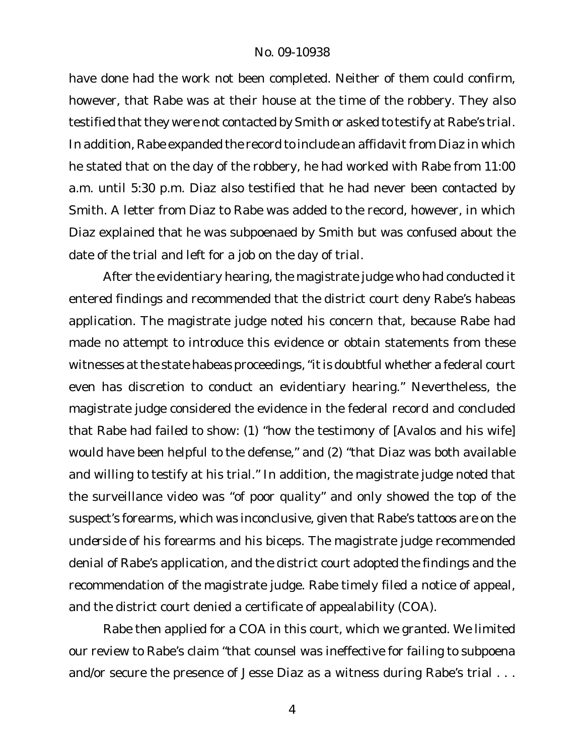#### No. 09-10938

have done had the work not been completed. Neither of them could confirm, however, that Rabe was at their house at the time of the robbery. They also testified that they were not contacted by Smith or asked to testify at Rabe's trial. In addition, Rabe expanded the record to include an affidavit from Diaz in which he stated that on the day of the robbery, he had worked with Rabe from 11:00 a.m. until 5:30 p.m. Diaz also testified that he had never been contacted by Smith. A letter from Diaz to Rabe was added to the record, however, in which Diaz explained that he *was* subpoenaed by Smith but was confused about the date of the trial and left for a job on the day of trial.

After the evidentiary hearing, the magistrate judge who had conducted it entered findings and recommended that the district court deny Rabe's habeas application. The magistrate judge noted his concern that, because Rabe had made no attempt to introduce this evidence or obtain statements from these witnesses at the state habeas proceedings, "it is doubtful whether a federal court even has discretion to conduct an evidentiary hearing." Nevertheless, the magistrate judge considered the evidence in the federal record and concluded that Rabe had failed to show: (1) "how the testimony of [Avalos and his wife] would have been helpful to the defense," and (2) "that Diaz was both available and willing to testify at his trial." In addition, the magistrate judge noted that the surveillance video was "of poor quality" and only showed the top of the suspect's forearms, which was inconclusive, given that Rabe's tattoos are on the *underside* of his forearms and his biceps. The magistrate judge recommended denial of Rabe's application, and the district court adopted the findings and the recommendation of the magistrate judge. Rabe timely filed a notice of appeal, and the district court denied a certificate of appealability (COA).

Rabe then applied for a COA in this court, which we granted. We limited our review to Rabe's claim "that counsel was ineffective for failing to subpoena and/or secure the presence of Jesse Diaz as a witness during Rabe's trial . . .

4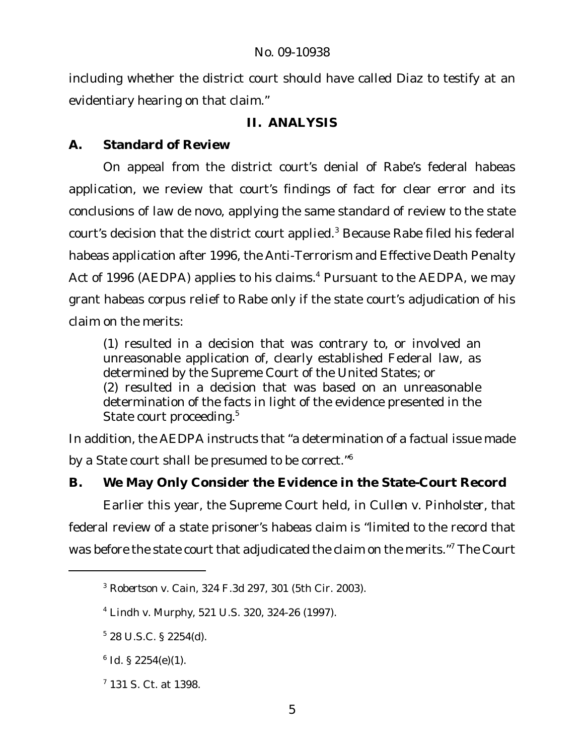including whether the district court should have called Diaz to testify at an evidentiary hearing on that claim."

## **II. ANALYSIS**

**A. Standard of Review**

On appeal from the district court's denial of Rabe's federal habeas application, we review that court's findings of fact for clear error and its conclusions of law de novo, applying the same standard of review to the state court's decision that the district court applied.<sup>3</sup> Because Rabe filed his federal habeas application after 1996, the Anti-Terrorism and Effective Death Penalty Act of 1996 (AEDPA) applies to his claims.<sup>4</sup> Pursuant to the AEDPA, we may grant habeas corpus relief to Rabe only if the state court's adjudication of his claim on the merits:

(1) resulted in a decision that was contrary to, or involved an unreasonable application of, clearly established Federal law, as determined by the Supreme Court of the United States; or (2) resulted in a decision that was based on an unreasonable determination of the facts in light of the evidence presented in the State court proceeding.<sup>5</sup>

In addition, the AEDPA instructs that "a determination of a factual issue made by a State court shall be presumed to be correct."<sup>6</sup>

**B. We May Only Consider the Evidence in the State-Court Record**

Earlier this year, the Supreme Court held, in *Cullen v. Pinholster*, that federal review of a state prisoner's habeas claim is "limited to the record that was before the state court that adjudicated the claim on the merits."<sup>7</sup> The Court

6 *Id.* § 2254(e)(1).

<sup>3</sup> *Robertson v. Cain*, 324 F.3d 297, 301 (5th Cir. 2003).

<sup>4</sup> *Lindh v. Murphy*, 521 U.S. 320, 324-26 (1997).

 $5$  28 U.S.C. § 2254(d).

<sup>7</sup> 131 S. Ct. at 1398.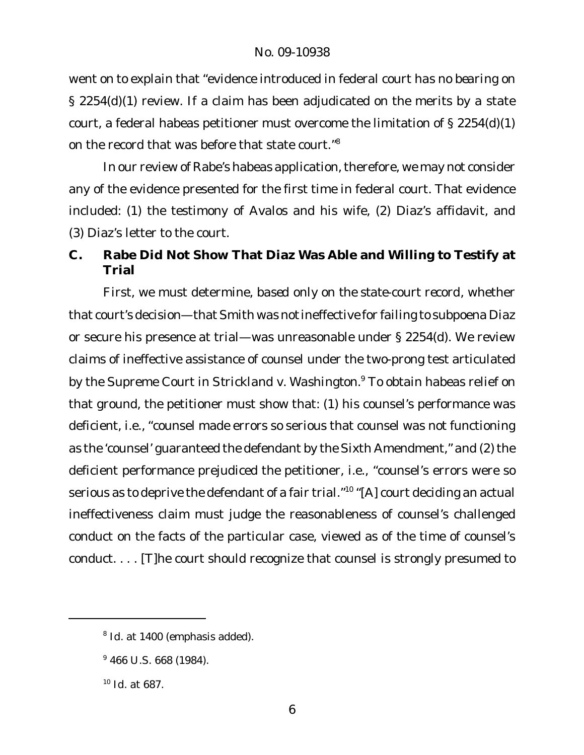went on to explain that "evidence introduced in federal court *has no bearing* on § 2254(d)(1) review. If a claim has been adjudicated on the merits by a state court, a federal habeas petitioner must overcome the limitation of § 2254(d)(1) on the record that was before that state court."<sup>8</sup>

In our review of Rabe's habeas application, therefore, we may not consider any of the evidence presented for the first time in federal court. That evidence included: (1) the testimony of Avalos and his wife, (2) Diaz's affidavit, and (3) Diaz's letter to the court.

**C. Rabe Did Not Show That Diaz Was Able and Willing to Testify at Trial**

First, we must determine, *based only on the state-court record*, whether that court's decision—that Smith was *not*ineffective for failing to subpoena Diaz or secure his presence at trial—was unreasonable under § 2254(d). We review claims of ineffective assistance of counsel under the two-prong test articulated by the Supreme Court in *Strickland v. Washington*. <sup>9</sup> To obtain habeas relief on that ground, the petitioner must show that: (1) his counsel's performance was deficient, i.e., "counsel made errors so serious that counsel was not functioning as the 'counsel' guaranteed the defendant by the Sixth Amendment," and (2) the deficient performance prejudiced the petitioner, i.e., "counsel's errors were so serious as to deprive the defendant of a fair trial."<sup>10</sup> "[A] court deciding an actual ineffectiveness claim must judge the reasonableness of counsel's challenged conduct on the facts of the particular case, viewed as of the time of counsel's conduct. . . . [T]he court should recognize that counsel is strongly presumed to

<sup>8</sup> *Id.* at 1400 (emphasis added).

 $9466$  U.S. 668 (1984).

<sup>10</sup> *Id.* at 687.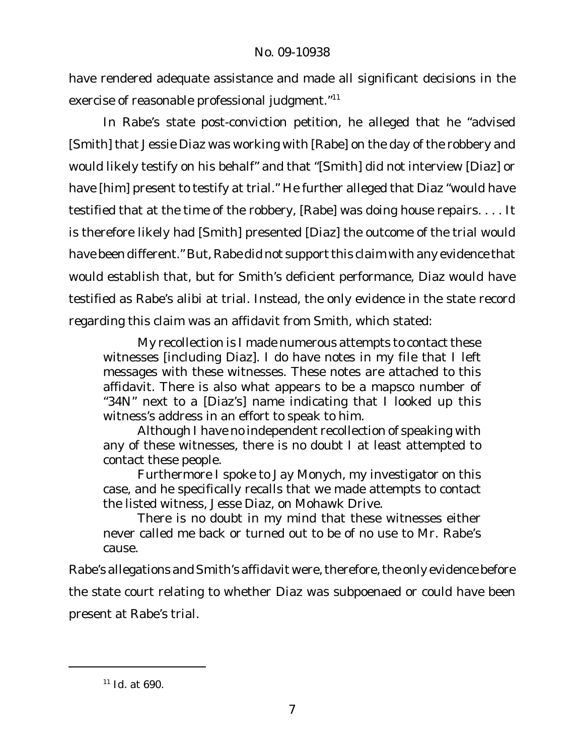have rendered adequate assistance and made all significant decisions in the exercise of reasonable professional judgment."<sup>11</sup>

In Rabe's state post-conviction petition, he alleged that he "advised [Smith] that Jessie Diaz was working with [Rabe] on the day of the robbery and would likely testify on his behalf" and that "[Smith] did not interview [Diaz] or have [him] present to testify at trial." He further alleged that Diaz "would have testified that at the time of the robbery, [Rabe] was doing house repairs. . . . It is therefore likely had [Smith] presented [Diaz] the outcome of the trial would have been different." But, Rabe did not support this claim with any evidence that would establish that, *but for* Smith's deficient performance, Diaz *would* have testified as Rabe's alibi at trial. Instead, the only evidence in the state record regarding this claim was an affidavit from Smith, which stated:

My recollection is I made numerous attempts to contact these witnesses [including Diaz]. I do have notes in my file that I left messages with these witnesses. These notes are attached to this affidavit. There is also what appears to be a mapsco number of "34N" next to a [Diaz's] name indicating that I looked up this witness's address in an effort to speak to him.

Although I have no independent recollection of speaking with any of these witnesses, there is no doubt I at least attempted to contact these people.

Furthermore I spoke to Jay Monych, my investigator on this case, and he specifically recalls that we made attempts to contact the listed witness, Jesse Diaz, on Mohawk Drive.

There is no doubt in my mind that these witnesses either never called me back or turned out to be of no use to Mr. Rabe's cause.

Rabe's allegations and Smith's affidavit were, therefore, the only evidence before the state court relating to whether Diaz was subpoenaed or could have been present at Rabe's trial.

<sup>11</sup> *Id.* at 690.